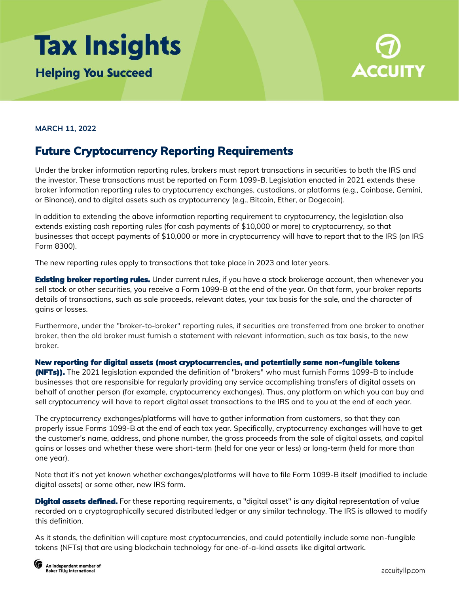## **Tax Insights Helping You Succeed**



## **MARCH 11, 2022**

## **Future Cryptocurrency Reporting Requirements**

Under the broker information reporting rules, brokers must report transactions in securities to both the IRS and the investor. These transactions must be reported on Form 1099-B. Legislation enacted in 2021 extends these broker information reporting rules to cryptocurrency exchanges, custodians, or platforms (e.g., Coinbase, Gemini, or Binance), and to digital assets such as cryptocurrency (e.g., Bitcoin, Ether, or Dogecoin).

In addition to extending the above information reporting requirement to cryptocurrency, the legislation also extends existing cash reporting rules (for cash payments of \$10,000 or more) to cryptocurrency, so that businesses that accept payments of \$10,000 or more in cryptocurrency will have to report that to the IRS (on IRS Form 8300).

The new reporting rules apply to transactions that take place in 2023 and later years.

**Existing broker reporting rules.** Under current rules, if you have a stock brokerage account, then whenever you sell stock or other securities, you receive a Form 1099-B at the end of the year. On that form, your broker reports details of transactions, such as sale proceeds, relevant dates, your tax basis for the sale, and the character of gains or losses.

Furthermore, under the "broker-to-broker" reporting rules, if securities are transferred from one broker to another broker, then the old broker must furnish a statement with relevant information, such as tax basis, to the new broker.

New reporting for digital assets (most cryptocurrencies, and potentially some non-fungible tokens (NFTs)). The 2021 legislation expanded the definition of "brokers" who must furnish Forms 1099-B to include businesses that are responsible for regularly providing any service accomplishing transfers of digital assets on behalf of another person (for example, cryptocurrency exchanges). Thus, any platform on which you can buy and sell cryptocurrency will have to report digital asset transactions to the IRS and to you at the end of each year.

The cryptocurrency exchanges/platforms will have to gather information from customers, so that they can properly issue Forms 1099-B at the end of each tax year. Specifically, cryptocurrency exchanges will have to get the customer's name, address, and phone number, the gross proceeds from the sale of digital assets, and capital gains or losses and whether these were short-term (held for one year or less) or long-term (held for more than one year).

Note that it's not yet known whether exchanges/platforms will have to file Form 1099-B itself (modified to include digital assets) or some other, new IRS form.

**Digital assets defined.** For these reporting requirements, a "digital asset" is any digital representation of value recorded on a cryptographically secured distributed ledger or any similar technology. The IRS is allowed to modify this definition.

As it stands, the definition will capture most cryptocurrencies, and could potentially include some non-fungible tokens (NFTs) that are using blockchain technology for one-of-a-kind assets like digital artwork.